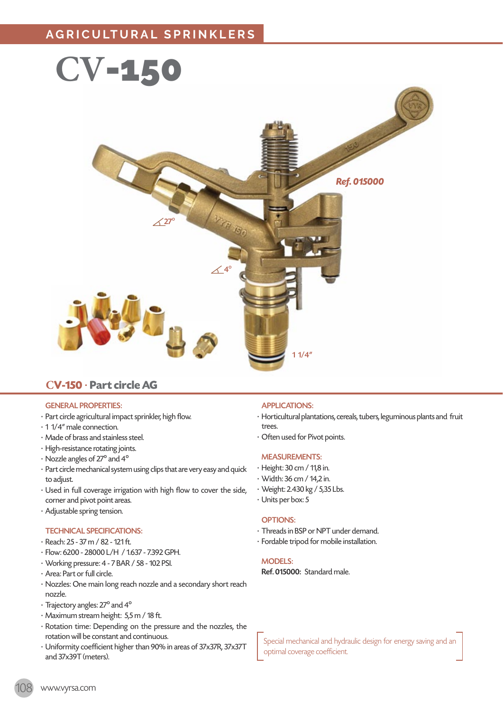

## **CV-150** · **Part circle AG**

#### GENERAL PROPERTIES:

- · Part circle agricultural impact sprinkler, high flow.
- · 1 1/4" male connection.
- · Made of brass and stainless steel.
- · High-resistance rotating joints.
- · Nozzle angles of 27º and 4º
- · Part circle mechanical system using clips that are very easy and quick to adiust.
- · Used in full coverage irrigation with high flow to cover the side, corner and pivot point areas.
- · Adjustable spring tension.

#### TECHNICAL SPECIFICATIONS:

- · Reach: 25 37 m / 82 121 ft.
- · Flow: 6200 28000 L/H / 1.637 7.392 GPH.
- · Working pressure: 4 7 BAR / 58 102 PSI.
- · Area: Part or full circle.
- · Nozzles: One main long reach nozzle and a secondary short reach nozzle.
- · Trajectory angles: 27º and 4º
- · Maximum stream height: 5,5 m / 18 ft.
- · Rotation time: Depending on the pressure and the nozzles, the rotation will be constant and continuous.
- · Uniformity coefficient higher than 90% in areas of 37x37R, 37x37T and 37x39T (meters).

### APPLICATIONS:

- · Horticultural plantations, cereals, tubers, leguminous plants and fruit trees.
- · Often used for Pivot points.

#### MEASUREMENTS:

- · Height: 30 cm / 11,8 in.
- · Width: 36 cm / 14,2 in.
- · Weight: 2.430 kg / 5,35 Lbs.
- · Units per box: 5

#### OPTIONS:

- · Threads in BSP or NPT under demand.
- · Fordable tripod for mobile installation.

#### MODELS:

Ref. 015000: Standard male.

Special mechanical and hydraulic design for energy saving and an optimal coverage coefficient.